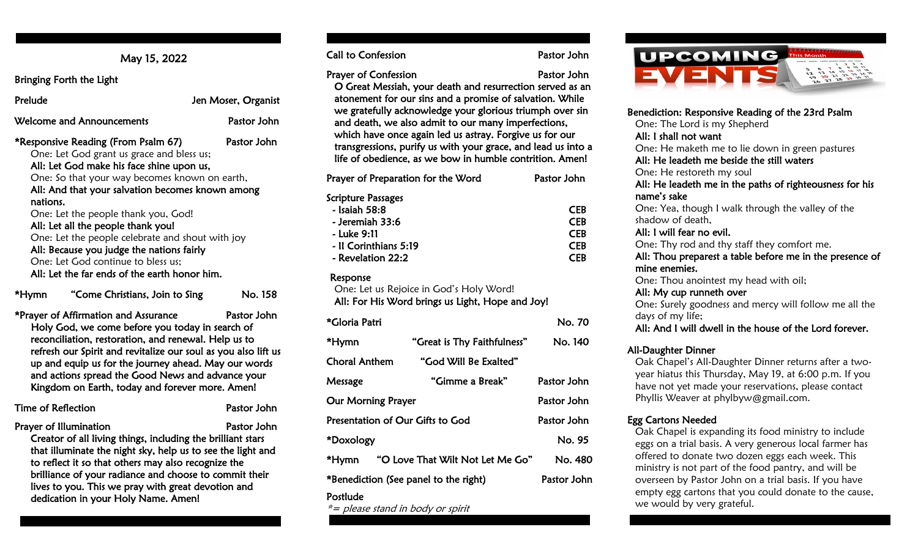May 15, 2022

Bringing Forth the Light

| Prelude<br>Jen Moser, Organist                                 |             |
|----------------------------------------------------------------|-------------|
| <b>Welcome and Announcements</b>                               | Pastor John |
| *Responsive Reading (From Psalm 67)                            | Pastor John |
| One: Let God grant us grace and bless us;                      |             |
| All: Let God make his face shine upon us,                      |             |
| $Q_{max}$ , $f_{n}$ , that usus usus hessemes lineurs on south |             |

One: So that your way becomes known on earth, All: And that your salvation becomes known among nations.

One: Let the people thank you, God! All: Let all the people thank you! One: Let the people celebrate and shout with joy All: Because you judge the nations fairly One: Let God continue to bless us; All: Let the far ends of the earth honor him.

```
*Hymn "Come Christians, Join to Sing No. 158
```
\*Prayer of Affirmation and Assurance Pastor John Holy God, we come before you today in search of reconciliation, restoration, and renewal. Help us to refresh our Spirit and revitalize our soul as you also lift us up and equip us for the journey ahead. May our words and actions spread the Good News and advance your Kingdom on Earth, today and forever more. Amen!

| Time of Reflection                                          | Pastor John |  |  |
|-------------------------------------------------------------|-------------|--|--|
| Prayer of Illumination                                      | Pastor John |  |  |
| Creator of all living things, including the brilliant stars |             |  |  |
| that illuminate the night sky, help us to see the light and |             |  |  |

that illuminate the night sky, help us to see the light and to reflect it so that others may also recognize the brilliance of your radiance and choose to commit their lives to you. This we pray with great devotion and dedication in your Holy Name. Amen!

Call to Confession **Pastor John** 

Prayer of Confession **Prayer of Confession** 

 O Great Messiah, your death and resurrection served as an atonement for our sins and a promise of salvation. While we gratefully acknowledge your glorious triumph over sin and death, we also admit to our many imperfections, which have once again led us astray. Forgive us for our transgressions, purify us with your grace, and lead us into a life of obedience, as we bow in humble contrition. Amen!

| Prayer of Preparation for the Word | Pastor John |
|------------------------------------|-------------|
| Scripture Passages                 |             |
| - Isaiah 58:8                      | <b>CEB</b>  |
| - Jeremiah 33:6                    | <b>CEB</b>  |
| - Luke 9:11                        | <b>CEB</b>  |
| - Il Corinthians 5:19              | <b>CFR</b>  |
| - Revelation 22:2                  | CFR         |

#### Response

 One: Let us Rejoice in God's Holy Word! All: For His Word brings us Light, Hope and Joy!

| *Gloria Patri                         |                                  | No. 70      |
|---------------------------------------|----------------------------------|-------------|
| *Hymn                                 | "Great is Thy Faithfulness"      | No. 140     |
| <b>Choral Anthem</b>                  | "God Will Be Exalted"            |             |
| Message                               | "Gimme a Break"                  | Pastor John |
| <b>Our Morning Prayer</b>             | Pastor John                      |             |
| Presentation of Our Gifts to God      | Pastor John                      |             |
| *Doxology                             | No. 95                           |             |
| *Hvmn                                 | "O Love That Wilt Not Let Me Go" | No. 480     |
| *Benediction (See panel to the right) | Pastor John                      |             |

#### Postlude

\*= please stand in body or spirit



| Benediction: Responsive Reading of the 23rd Psalm        |  |  |  |
|----------------------------------------------------------|--|--|--|
| One: The Lord is my Shepherd                             |  |  |  |
| All: I shall not want                                    |  |  |  |
| One: He maketh me to lie down in green pastures          |  |  |  |
| All: He leadeth me beside the still waters               |  |  |  |
| One: He restoreth my soul                                |  |  |  |
| All: He leadeth me in the paths of righteousness for his |  |  |  |
| name's sake                                              |  |  |  |
| One: Yea, though I walk through the valley of the        |  |  |  |
| shadow of death,                                         |  |  |  |
| All: I will fear no evil.                                |  |  |  |
| One: Thy rod and thy staff they comfort me.              |  |  |  |
| All: Thou preparest a table before me in the presence of |  |  |  |
| mine enemies.                                            |  |  |  |
| One: Thou anointest my head with oil;                    |  |  |  |
| All: My cup runneth over                                 |  |  |  |
| One: Surely goodness and mercy will follow me all the    |  |  |  |
| days of my life;                                         |  |  |  |
| All: And I will dwell in the house of the Lord forever.  |  |  |  |
|                                                          |  |  |  |

### All-Daughter Dinner

Oak Chapel's All-Daughter Dinner returns after a twoyear hiatus this Thursday, May 19, at 6:00 p.m. If you have not yet made your reservations, please contact Phyllis Weaver at phylbyw@gmail.com.

## Egg Cartons Needed

Oak Chapel is expanding its food ministry to include eggs on a trial basis. A very generous local farmer has offered to donate two dozen eggs each week. This ministry is not part of the food pantry, and will be overseen by Pastor John on a trial basis. If you have empty egg cartons that you could donate to the cause, we would by very grateful.